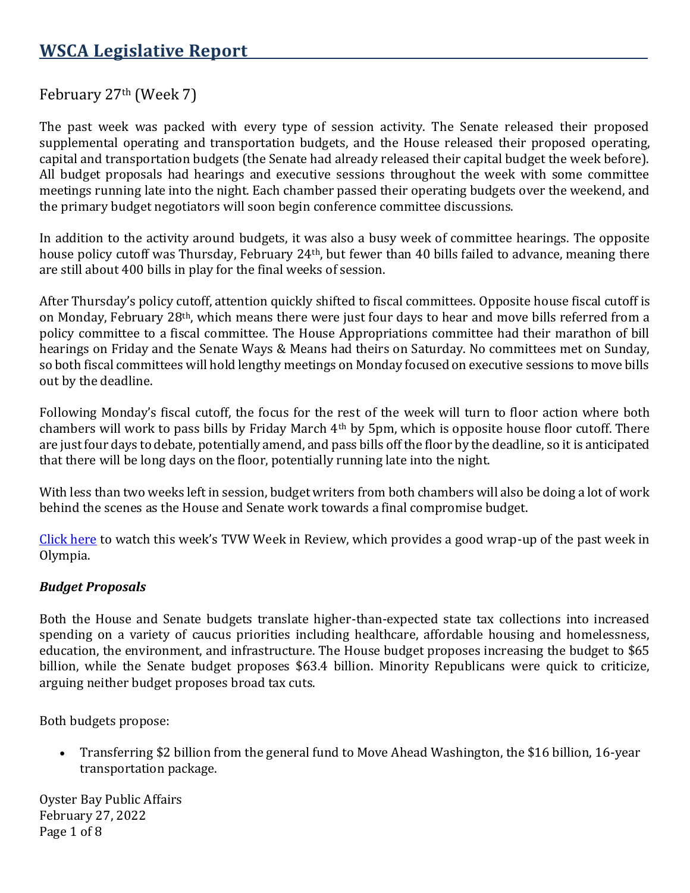February 27th (Week 7)

The past week was packed with every type of session activity. The Senate released their proposed supplemental operating and transportation budgets, and the House released their proposed operating, capital and transportation budgets (the Senate had already released their capital budget the week before). All budget proposals had hearings and executive sessions throughout the week with some committee meetings running late into the night. Each chamber passed their operating budgets over the weekend, and the primary budget negotiators will soon begin conference committee discussions.

In addition to the activity around budgets, it was also a busy week of committee hearings. The opposite house policy cutoff was Thursday, February 24th, but fewer than 40 bills failed to advance, meaning there are still about 400 bills in play for the final weeks of session.

After Thursday's policy cutoff, attention quickly shifted to fiscal committees. Opposite house fiscal cutoff is on Monday, February 28th, which means there were just four days to hear and move bills referred from a policy committee to a fiscal committee. The House Appropriations committee had their marathon of bill hearings on Friday and the Senate Ways & Means had theirs on Saturday. No committees met on Sunday, so both fiscal committees will hold lengthy meetings on Monday focused on executive sessions to move bills out by the deadline.

Following Monday's fiscal cutoff, the focus for the rest of the week will turn to floor action where both chambers will work to pass bills by Friday March 4th by 5pm, which is opposite house floor cutoff. There are just four days to debate, potentially amend, and pass bills off the floor by the deadline, so it is anticipated that there will be long days on the floor, potentially running late into the night.

With less than two weeks left in session, budget writers from both chambers will also be doing a lot of work behind the scenes as the House and Senate work towards a final compromise budget.

[Click here](https://tvw.org/video/legislative-review-february-21-25-2022021327/) to watch this week's TVW Week in Review, which provides a good wrap-up of the past week in Olympia.

## *Budget Proposals*

Both the House and Senate budgets translate higher-than-expected state tax collections into increased spending on a variety of caucus priorities including healthcare, affordable housing and homelessness, education, the environment, and infrastructure. The House budget proposes increasing the budget to \$65 billion, while the Senate budget proposes \$63.4 billion. Minority Republicans were quick to criticize, arguing neither budget proposes broad tax cuts.

Both budgets propose:

• Transferring \$2 billion from the general fund to Move Ahead Washington, the \$16 billion, 16-year transportation package.

Oyster Bay Public Affairs February 27, 2022 Page 1 of 8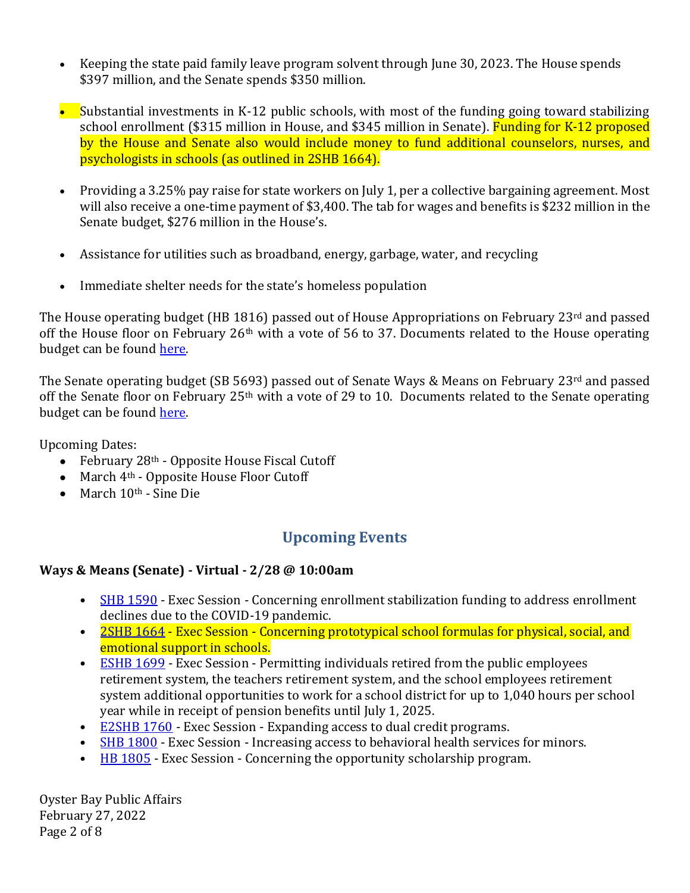- Keeping the state paid family leave program solvent through June 30, 2023. The House spends \$397 million, and the Senate spends \$350 million.
- Substantial investments in K-12 public schools, with most of the funding going toward stabilizing school enrollment (\$315 million in House, and \$345 million in Senate). Funding for K-12 proposed by the House and Senate also would include money to fund additional counselors, nurses, and psychologists in schools (as outlined in 2SHB 1664).
- Providing a 3.25% pay raise for state workers on July 1, per a collective bargaining agreement. Most will also receive a one-time payment of \$3,400. The tab for wages and benefits is \$232 million in the Senate budget, \$276 million in the House's.
- Assistance for utilities such as broadband, energy, garbage, water, and recycling
- Immediate shelter needs for the state's homeless population

The House operating budget (HB 1816) passed out of House Appropriations on February 23<sup>rd</sup> and passed off the House floor on February 26<sup>th</sup> with a vote of 56 to 37. Documents related to the House operating budget can be foun[d here.](http://leap.leg.wa.gov/leap/budget/detail/2022/ho2022Supp.asp)

The Senate operating budget (SB 5693) passed out of Senate Ways & Means on February 23rd and passed off the Senate floor on February 25<sup>th</sup> with a vote of 29 to 10. Documents related to the Senate operating budget can be foun[d here.](http://leap.leg.wa.gov/leap/budget/detail/2022/so2022Supp.asp)

Upcoming Dates:

- February  $28<sup>th</sup>$  Opposite House Fiscal Cutoff
- March 4<sup>th</sup> Opposite House Floor Cutoff
- March  $10<sup>th</sup>$  Sine Die

## **Upcoming Events**

## **Ways & Means (Senate) - Virtual - 2/28 @ 10:00am**

- SHB [1590](https://app.leg.wa.gov/billsummary?Year=2021&BillNumber=1590) Exec Session Concerning enrollment stabilization funding to address enrollment declines due to the COVID-19 pandemic.
- [2SHB 1664](https://app.leg.wa.gov/billsummary?Year=2021&BillNumber=1664) Exec Session Concerning prototypical school formulas for physical, social, and emotional support in schools.
- [ESHB 1699](https://app.leg.wa.gov/billsummary?Year=2021&BillNumber=1699) Exec Session Permitting individuals retired from the public employees retirement system, the teachers retirement system, and the school employees retirement system additional opportunities to work for a school district for up to 1,040 hours per school year while in receipt of pension benefits until July 1, 2025.
- [E2SHB 1760](https://app.leg.wa.gov/billsummary?Year=2021&BillNumber=1760) Exec Session Expanding access to dual credit programs.
- [SHB 1800](https://app.leg.wa.gov/billsummary?Year=2021&BillNumber=1800) Exec Session Increasing access to behavioral health services for minors.
- [HB 1805](https://app.leg.wa.gov/billsummary?Year=2021&BillNumber=1805) Exec Session Concerning the opportunity scholarship program.

Oyster Bay Public Affairs February 27, 2022 Page 2 of 8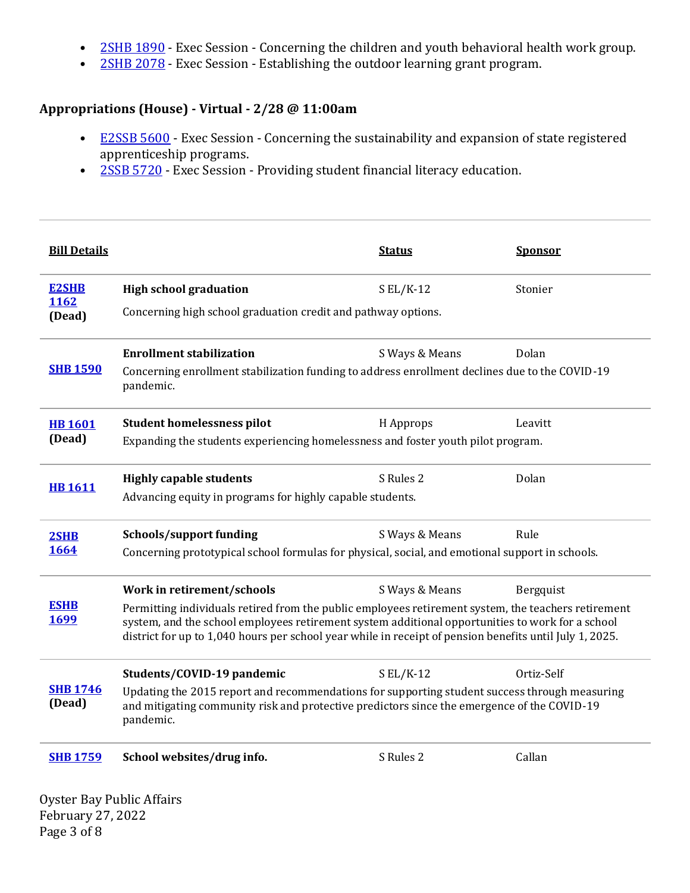- [2SHB 1890](https://app.leg.wa.gov/billsummary?Year=2021&BillNumber=1890) Exec Session Concerning the children and youth behavioral health work group.
- [2SHB 2078](https://app.leg.wa.gov/billsummary?Year=2021&BillNumber=2078) Exec Session Establishing the outdoor learning grant program.

## **Appropriations (House) - Virtual - 2/28 @ 11:00am**

- [E2SSB 5600](https://app.leg.wa.gov/billsummary?Year=2021&BillNumber=5600) Exec Session Concerning the sustainability and expansion of state registered apprenticeship programs.
- [2SSB 5720](https://app.leg.wa.gov/billsummary?Year=2021&BillNumber=5720) Exec Session Providing student financial literacy education.

|                                                                                                                                                                                                                                                                                                                    |                | <b>Sponsor</b> |  |
|--------------------------------------------------------------------------------------------------------------------------------------------------------------------------------------------------------------------------------------------------------------------------------------------------------------------|----------------|----------------|--|
| <b>High school graduation</b>                                                                                                                                                                                                                                                                                      | $S EL/K-12$    | Stonier        |  |
| Concerning high school graduation credit and pathway options.                                                                                                                                                                                                                                                      |                |                |  |
| <b>Enrollment stabilization</b>                                                                                                                                                                                                                                                                                    | S Ways & Means | Dolan          |  |
| Concerning enrollment stabilization funding to address enrollment declines due to the COVID-19<br>pandemic.                                                                                                                                                                                                        |                |                |  |
| <b>Student homelessness pilot</b>                                                                                                                                                                                                                                                                                  | H Approps      | Leavitt        |  |
| Expanding the students experiencing homelessness and foster youth pilot program.                                                                                                                                                                                                                                   |                |                |  |
| <b>Highly capable students</b>                                                                                                                                                                                                                                                                                     | S Rules 2      | Dolan          |  |
| Advancing equity in programs for highly capable students.                                                                                                                                                                                                                                                          |                |                |  |
| Schools/support funding                                                                                                                                                                                                                                                                                            | S Ways & Means | Rule           |  |
| Concerning prototypical school formulas for physical, social, and emotional support in schools.                                                                                                                                                                                                                    |                |                |  |
| Work in retirement/schools                                                                                                                                                                                                                                                                                         | S Ways & Means | Bergquist      |  |
| Permitting individuals retired from the public employees retirement system, the teachers retirement<br>system, and the school employees retirement system additional opportunities to work for a school<br>district for up to 1,040 hours per school year while in receipt of pension benefits until July 1, 2025. |                |                |  |
| Students/COVID-19 pandemic                                                                                                                                                                                                                                                                                         | $S EL/K-12$    | Ortiz-Self     |  |
| Updating the 2015 report and recommendations for supporting student success through measuring<br>and mitigating community risk and protective predictors since the emergence of the COVID-19<br>pandemic.                                                                                                          |                |                |  |
| School websites/drug info.                                                                                                                                                                                                                                                                                         | S Rules 2      | Callan         |  |
|                                                                                                                                                                                                                                                                                                                    |                |                |  |

Oyster Bay Public Affairs February 27, 2022 Page 3 of 8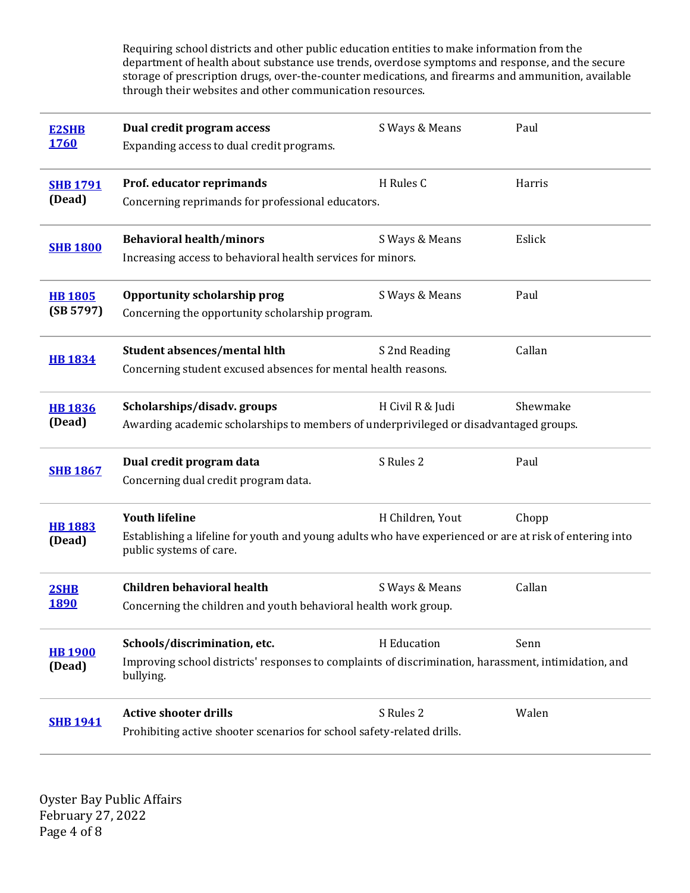Requiring school districts and other public education entities to make information from the department of health about substance use trends, overdose symptoms and response, and the secure storage of prescription drugs, over-the-counter medications, and firearms and ammunition, available through their websites and other communication resources.

| <b>E2SHB</b><br><b>1760</b> | Dual credit program access<br>Expanding access to dual credit programs.                                                                                                                  | S Ways & Means   | Paul     |
|-----------------------------|------------------------------------------------------------------------------------------------------------------------------------------------------------------------------------------|------------------|----------|
| <b>SHB 1791</b><br>(Dead)   | Prof. educator reprimands<br>Concerning reprimands for professional educators.                                                                                                           | H Rules C        | Harris   |
| <b>SHB 1800</b>             | <b>Behavioral health/minors</b><br>Increasing access to behavioral health services for minors.                                                                                           | S Ways & Means   | Eslick   |
| <b>HB 1805</b><br>(SB 5797) | <b>Opportunity scholarship prog</b><br>Concerning the opportunity scholarship program.                                                                                                   | S Ways & Means   | Paul     |
| <b>HB 1834</b>              | Student absences/mental hith<br>Concerning student excused absences for mental health reasons.                                                                                           | S 2nd Reading    | Callan   |
| <b>HB 1836</b><br>(Dead)    | Scholarships/disadv.groups<br>Awarding academic scholarships to members of underprivileged or disadvantaged groups.                                                                      | H Civil R & Judi | Shewmake |
| <b>SHB 1867</b>             | Dual credit program data<br>Concerning dual credit program data.                                                                                                                         | S Rules 2        | Paul     |
| <b>HB 1883</b><br>(Dead)    | <b>Youth lifeline</b><br>H Children, Yout<br>Chopp<br>Establishing a lifeline for youth and young adults who have experienced or are at risk of entering into<br>public systems of care. |                  |          |
| 2SHB<br><u> 1890</u>        | <b>Children behavioral health</b><br>Concerning the children and youth behavioral health work group.                                                                                     | S Ways & Means   | Callan   |
| <b>HB 1900</b><br>(Dead)    | Schools/discrimination, etc.<br>Improving school districts' responses to complaints of discrimination, harassment, intimidation, and<br>bullying.                                        | H Education      | Senn     |
| <b>SHB 1941</b>             | <b>Active shooter drills</b><br>Prohibiting active shooter scenarios for school safety-related drills.                                                                                   | S Rules 2        | Walen    |

Oyster Bay Public Affairs February 27, 2022 Page 4 of 8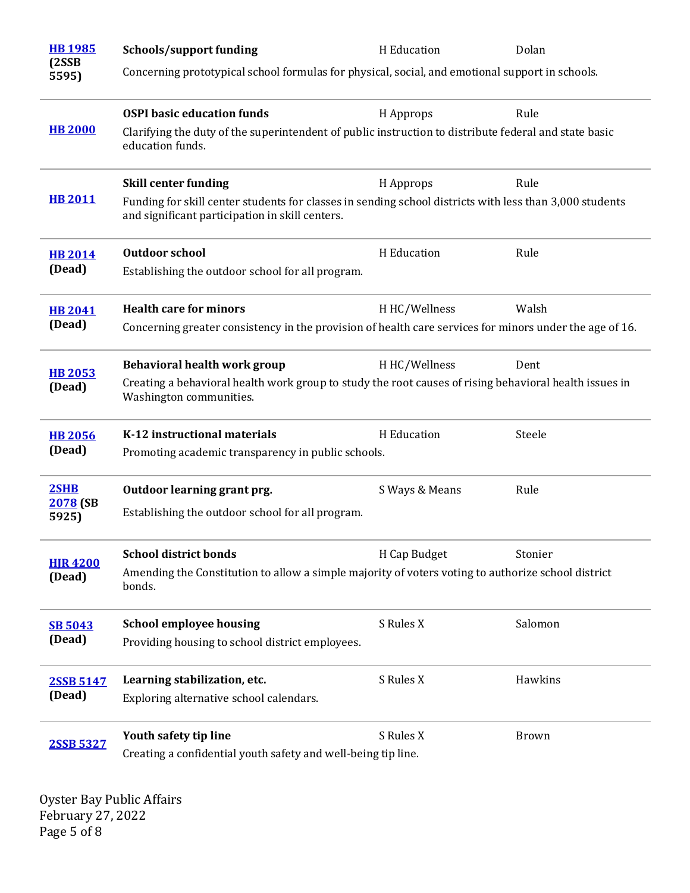| <b>HB1985</b>             | <b>Schools/support funding</b>                                                                                                                                 | H Education    | Dolan        |  |
|---------------------------|----------------------------------------------------------------------------------------------------------------------------------------------------------------|----------------|--------------|--|
| (2SSB)<br>5595)           | Concerning prototypical school formulas for physical, social, and emotional support in schools.                                                                |                |              |  |
| <b>HB 2000</b>            | <b>OSPI</b> basic education funds<br>Clarifying the duty of the superintendent of public instruction to distribute federal and state basic<br>education funds. | H Approps      | Rule         |  |
|                           | <b>Skill center funding</b>                                                                                                                                    | H Approps      | Rule         |  |
| <b>HB 2011</b>            | Funding for skill center students for classes in sending school districts with less than 3,000 students<br>and significant participation in skill centers.     |                |              |  |
| <b>HB 2014</b><br>(Dead)  | <b>Outdoor school</b><br>Establishing the outdoor school for all program.                                                                                      | H Education    | Rule         |  |
|                           |                                                                                                                                                                |                |              |  |
| <b>HB 2041</b>            | <b>Health care for minors</b>                                                                                                                                  | H HC/Wellness  | Walsh        |  |
| (Dead)                    | Concerning greater consistency in the provision of health care services for minors under the age of 16.                                                        |                |              |  |
| <b>HB 2053</b><br>(Dead)  | Behavioral health work group                                                                                                                                   | H HC/Wellness  | Dent         |  |
|                           | Creating a behavioral health work group to study the root causes of rising behavioral health issues in<br>Washington communities.                              |                |              |  |
| <b>HB 2056</b>            | K-12 instructional materials                                                                                                                                   | H Education    | Steele       |  |
| (Dead)                    | Promoting academic transparency in public schools.                                                                                                             |                |              |  |
| 2SHB                      | Outdoor learning grant prg.                                                                                                                                    | S Ways & Means | Rule         |  |
| <b>2078</b> (SB<br>5925)  | Establishing the outdoor school for all program.                                                                                                               |                |              |  |
|                           | <b>School district bonds</b>                                                                                                                                   | H Cap Budget   | Stonier      |  |
| <b>HJR 4200</b><br>(Dead) | Amending the Constitution to allow a simple majority of voters voting to authorize school district<br>bonds.                                                   |                |              |  |
| <b>SB 5043</b>            | <b>School employee housing</b>                                                                                                                                 | S Rules X      | Salomon      |  |
| (Dead)                    | Providing housing to school district employees.                                                                                                                |                |              |  |
| 2SSB 5147                 | Learning stabilization, etc.                                                                                                                                   | S Rules X      | Hawkins      |  |
| (Dead)                    | Exploring alternative school calendars.                                                                                                                        |                |              |  |
| 2SSB 5327                 | Youth safety tip line                                                                                                                                          | S Rules X      | <b>Brown</b> |  |
|                           | Creating a confidential youth safety and well-being tip line.                                                                                                  |                |              |  |

Oyster Bay Public Affairs February 27, 2022 Page 5 of 8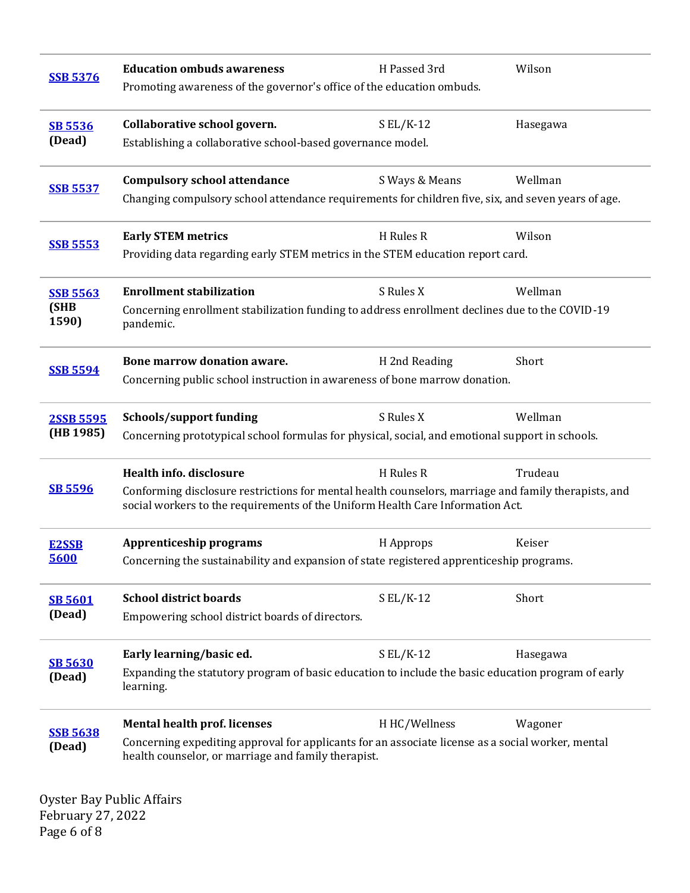| <b>SSB 5376</b>                  | <b>Education ombuds awareness</b><br>Promoting awareness of the governor's office of the education ombuds.                                                                                                        | H Passed 3rd   | Wilson   |
|----------------------------------|-------------------------------------------------------------------------------------------------------------------------------------------------------------------------------------------------------------------|----------------|----------|
| <b>SB 5536</b><br>(Dead)         | Collaborative school govern.<br>Establishing a collaborative school-based governance model.                                                                                                                       | $S EL/K-12$    | Hasegawa |
| <b>SSB 5537</b>                  | <b>Compulsory school attendance</b><br>Changing compulsory school attendance requirements for children five, six, and seven years of age.                                                                         | S Ways & Means | Wellman  |
| <b>SSB 5553</b>                  | <b>Early STEM metrics</b><br>Providing data regarding early STEM metrics in the STEM education report card.                                                                                                       | H Rules R      | Wilson   |
| <b>SSB 5563</b><br>(SHB<br>1590) | <b>Enrollment stabilization</b><br>Concerning enrollment stabilization funding to address enrollment declines due to the COVID-19<br>pandemic.                                                                    | S Rules X      | Wellman  |
| <b>SSB 5594</b>                  | Bone marrow donation aware.<br>Concerning public school instruction in awareness of bone marrow donation.                                                                                                         | H 2nd Reading  | Short    |
| <b>2SSB 5595</b><br>(HB 1985)    | <b>Schools/support funding</b><br>Concerning prototypical school formulas for physical, social, and emotional support in schools.                                                                                 | S Rules X      | Wellman  |
| <b>SB 5596</b>                   | Health info. disclosure<br>Conforming disclosure restrictions for mental health counselors, marriage and family therapists, and<br>social workers to the requirements of the Uniform Health Care Information Act. | H Rules R      | Trudeau  |
| <b>E2SSB</b><br>5600             | Apprenticeship programs<br>Concerning the sustainability and expansion of state registered apprenticeship programs.                                                                                               | H Approps      | Keiser   |
| <b>SB 5601</b><br>(Dead)         | <b>School district boards</b><br>Empowering school district boards of directors.                                                                                                                                  | $S EL/K-12$    | Short    |
| <b>SB 5630</b><br>(Dead)         | Early learning/basic ed.<br>Expanding the statutory program of basic education to include the basic education program of early<br>learning.                                                                       | $S EL/K-12$    | Hasegawa |
| <b>SSB 5638</b><br>(Dead)        | <b>Mental health prof. licenses</b><br>Concerning expediting approval for applicants for an associate license as a social worker, mental<br>health counselor, or marriage and family therapist.                   | H HC/Wellness  | Wagoner  |

Oyster Bay Public Affairs February 27, 2022 Page 6 of 8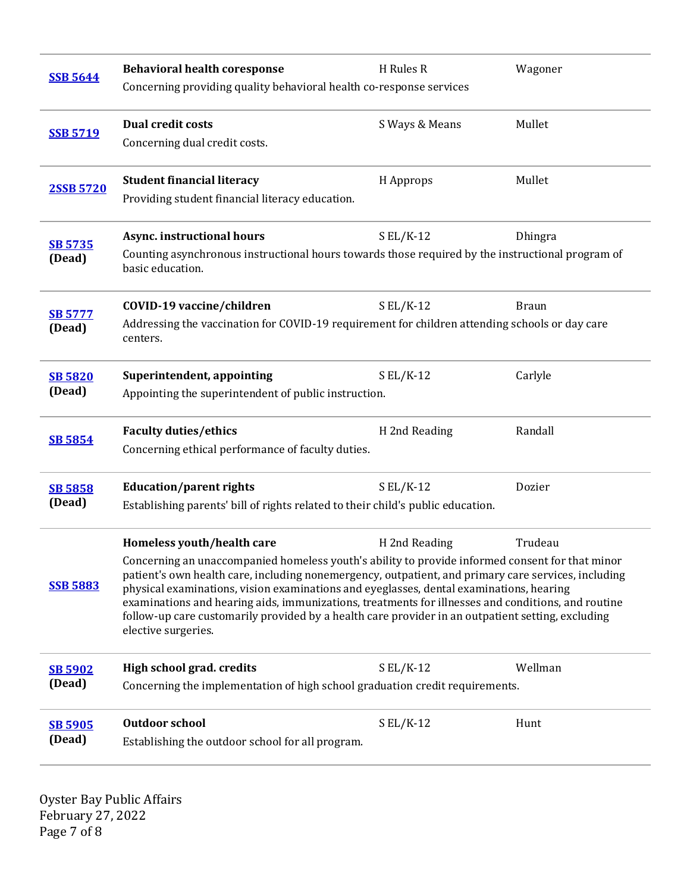| <b>SSB 5644</b>          | <b>Behavioral health coresponse</b><br>Concerning providing quality behavioral health co-response services                                                                                                                                                                                                                                                                                                                                                                                                                                                                                    | H Rules R      | Wagoner        |
|--------------------------|-----------------------------------------------------------------------------------------------------------------------------------------------------------------------------------------------------------------------------------------------------------------------------------------------------------------------------------------------------------------------------------------------------------------------------------------------------------------------------------------------------------------------------------------------------------------------------------------------|----------------|----------------|
| <b>SSB 5719</b>          | <b>Dual credit costs</b><br>Concerning dual credit costs.                                                                                                                                                                                                                                                                                                                                                                                                                                                                                                                                     | S Ways & Means | Mullet         |
| <b>2SSB 5720</b>         | <b>Student financial literacy</b><br>Providing student financial literacy education.                                                                                                                                                                                                                                                                                                                                                                                                                                                                                                          | H Approps      | Mullet         |
| <b>SB 5735</b><br>(Dead) | Async. instructional hours<br>Counting asynchronous instructional hours towards those required by the instructional program of<br>basic education.                                                                                                                                                                                                                                                                                                                                                                                                                                            | $SL/K-12$      | <b>Dhingra</b> |
| <b>SB 5777</b><br>(Dead) | COVID-19 vaccine/children<br>Addressing the vaccination for COVID-19 requirement for children attending schools or day care<br>centers.                                                                                                                                                                                                                                                                                                                                                                                                                                                       | $S EL/K-12$    | <b>Braun</b>   |
| <b>SB 5820</b><br>(Dead) | Superintendent, appointing<br>$SL/K-12$<br>Carlyle<br>Appointing the superintendent of public instruction.                                                                                                                                                                                                                                                                                                                                                                                                                                                                                    |                |                |
| <b>SB 5854</b>           | <b>Faculty duties/ethics</b><br>Concerning ethical performance of faculty duties.                                                                                                                                                                                                                                                                                                                                                                                                                                                                                                             | H 2nd Reading  | Randall        |
| <b>SB 5858</b><br>(Dead) | <b>Education/parent rights</b><br>Establishing parents' bill of rights related to their child's public education.                                                                                                                                                                                                                                                                                                                                                                                                                                                                             | $S EL/K-12$    | Dozier         |
| <b>SSB 5883</b>          | Homeless youth/health care<br>H 2nd Reading<br>Trudeau<br>Concerning an unaccompanied homeless youth's ability to provide informed consent for that minor<br>patient's own health care, including nonemergency, outpatient, and primary care services, including<br>physical examinations, vision examinations and eyeglasses, dental examinations, hearing<br>examinations and hearing aids, immunizations, treatments for illnesses and conditions, and routine<br>follow-up care customarily provided by a health care provider in an outpatient setting, excluding<br>elective surgeries. |                |                |
| <b>SB 5902</b><br>(Dead) | High school grad. credits<br>Concerning the implementation of high school graduation credit requirements.                                                                                                                                                                                                                                                                                                                                                                                                                                                                                     | $S EL/K-12$    | Wellman        |
| <b>SB 5905</b><br>(Dead) | <b>Outdoor school</b><br>Establishing the outdoor school for all program.                                                                                                                                                                                                                                                                                                                                                                                                                                                                                                                     | $SL/K-12$      | Hunt           |

Oyster Bay Public Affairs February 27, 2022 Page 7 of 8